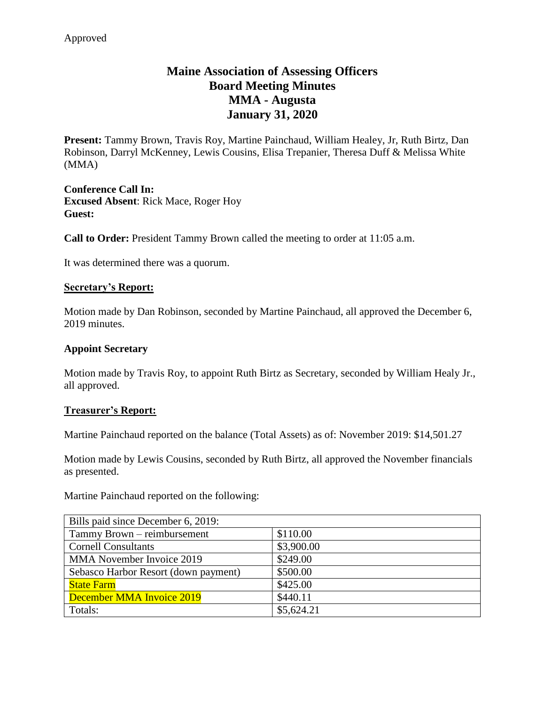# **Maine Association of Assessing Officers Board Meeting Minutes MMA - Augusta January 31, 2020**

**Present:** Tammy Brown, Travis Roy, Martine Painchaud, William Healey, Jr, Ruth Birtz, Dan Robinson, Darryl McKenney, Lewis Cousins, Elisa Trepanier, Theresa Duff & Melissa White (MMA)

**Conference Call In: Excused Absent**: Rick Mace, Roger Hoy **Guest:**

**Call to Order:** President Tammy Brown called the meeting to order at 11:05 a.m.

It was determined there was a quorum.

#### **Secretary's Report:**

Motion made by Dan Robinson, seconded by Martine Painchaud, all approved the December 6, 2019 minutes.

#### **Appoint Secretary**

Motion made by Travis Roy, to appoint Ruth Birtz as Secretary, seconded by William Healy Jr., all approved.

#### **Treasurer's Report:**

Martine Painchaud reported on the balance (Total Assets) as of: November 2019: \$14,501.27

Motion made by Lewis Cousins, seconded by Ruth Birtz, all approved the November financials as presented.

Martine Painchaud reported on the following:

| Bills paid since December 6, 2019:   |            |
|--------------------------------------|------------|
| Tammy Brown - reimbursement          | \$110.00   |
| <b>Cornell Consultants</b>           | \$3,900.00 |
| MMA November Invoice 2019            | \$249.00   |
| Sebasco Harbor Resort (down payment) | \$500.00   |
| <b>State Farm</b>                    | \$425.00   |
| December MMA Invoice 2019            | \$440.11   |
| Totals:                              | \$5,624.21 |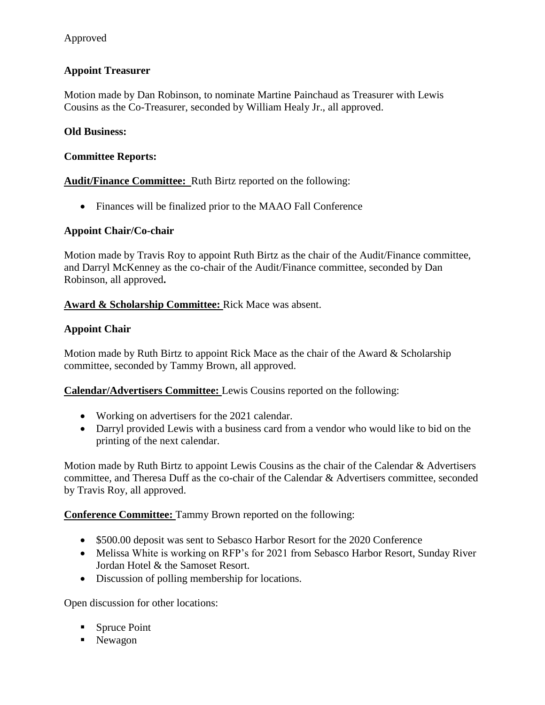# Approved

# **Appoint Treasurer**

Motion made by Dan Robinson, to nominate Martine Painchaud as Treasurer with Lewis Cousins as the Co-Treasurer, seconded by William Healy Jr., all approved.

#### **Old Business:**

#### **Committee Reports:**

**Audit/Finance Committee:** Ruth Birtz reported on the following:

Finances will be finalized prior to the MAAO Fall Conference

#### **Appoint Chair/Co-chair**

Motion made by Travis Roy to appoint Ruth Birtz as the chair of the Audit/Finance committee, and Darryl McKenney as the co-chair of the Audit/Finance committee, seconded by Dan Robinson, all approved**.**

#### **Award & Scholarship Committee:** Rick Mace was absent.

#### **Appoint Chair**

Motion made by Ruth Birtz to appoint Rick Mace as the chair of the Award  $\&$  Scholarship committee, seconded by Tammy Brown, all approved.

**Calendar/Advertisers Committee:** Lewis Cousins reported on the following:

- Working on advertisers for the 2021 calendar.
- Darryl provided Lewis with a business card from a vendor who would like to bid on the printing of the next calendar.

Motion made by Ruth Birtz to appoint Lewis Cousins as the chair of the Calendar & Advertisers committee, and Theresa Duff as the co-chair of the Calendar & Advertisers committee, seconded by Travis Roy, all approved.

**Conference Committee:** Tammy Brown reported on the following:

- \$500.00 deposit was sent to Sebasco Harbor Resort for the 2020 Conference
- Melissa White is working on RFP's for 2021 from Sebasco Harbor Resort, Sunday River Jordan Hotel & the Samoset Resort.
- Discussion of polling membership for locations.

Open discussion for other locations:

- Spruce Point
- Newagon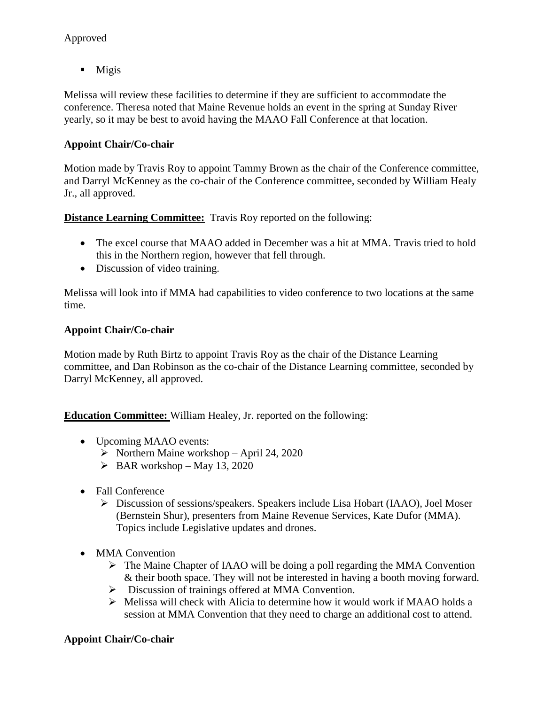# Approved

 $\blacksquare$  Migis

Melissa will review these facilities to determine if they are sufficient to accommodate the conference. Theresa noted that Maine Revenue holds an event in the spring at Sunday River yearly, so it may be best to avoid having the MAAO Fall Conference at that location.

### **Appoint Chair/Co-chair**

Motion made by Travis Roy to appoint Tammy Brown as the chair of the Conference committee, and Darryl McKenney as the co-chair of the Conference committee, seconded by William Healy Jr., all approved.

**Distance Learning Committee:** Travis Roy reported on the following:

- The excel course that MAAO added in December was a hit at MMA. Travis tried to hold this in the Northern region, however that fell through.
- Discussion of video training.

Melissa will look into if MMA had capabilities to video conference to two locations at the same time.

### **Appoint Chair/Co-chair**

Motion made by Ruth Birtz to appoint Travis Roy as the chair of the Distance Learning committee, and Dan Robinson as the co-chair of the Distance Learning committee, seconded by Darryl McKenney, all approved.

**Education Committee:** William Healey, Jr. reported on the following:

- Upcoming MAAO events:
	- $\triangleright$  Northern Maine workshop April 24, 2020
	- $\triangleright$  BAR workshop May 13, 2020
- Fall Conference
	- Discussion of sessions/speakers. Speakers include Lisa Hobart (IAAO), Joel Moser (Bernstein Shur), presenters from Maine Revenue Services, Kate Dufor (MMA). Topics include Legislative updates and drones.
- MMA Convention
	- $\triangleright$  The Maine Chapter of IAAO will be doing a poll regarding the MMA Convention & their booth space. They will not be interested in having a booth moving forward.
	- $\triangleright$  Discussion of trainings offered at MMA Convention.
	- $\triangleright$  Melissa will check with Alicia to determine how it would work if MAAO holds a session at MMA Convention that they need to charge an additional cost to attend.

### **Appoint Chair/Co-chair**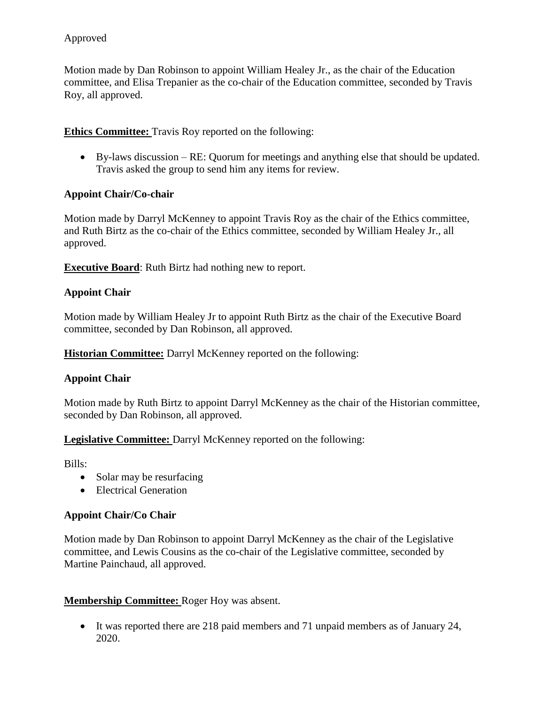Motion made by Dan Robinson to appoint William Healey Jr., as the chair of the Education committee, and Elisa Trepanier as the co-chair of the Education committee, seconded by Travis Roy, all approved.

# **Ethics Committee:** Travis Roy reported on the following:

 By-laws discussion – RE: Quorum for meetings and anything else that should be updated. Travis asked the group to send him any items for review.

# **Appoint Chair/Co-chair**

Motion made by Darryl McKenney to appoint Travis Roy as the chair of the Ethics committee, and Ruth Birtz as the co-chair of the Ethics committee, seconded by William Healey Jr., all approved.

**Executive Board**: Ruth Birtz had nothing new to report.

# **Appoint Chair**

Motion made by William Healey Jr to appoint Ruth Birtz as the chair of the Executive Board committee, seconded by Dan Robinson, all approved.

**Historian Committee:** Darryl McKenney reported on the following:

# **Appoint Chair**

Motion made by Ruth Birtz to appoint Darryl McKenney as the chair of the Historian committee, seconded by Dan Robinson, all approved.

**Legislative Committee:** Darryl McKenney reported on the following:

Bills:

- Solar may be resurfacing
- Electrical Generation

### **Appoint Chair/Co Chair**

Motion made by Dan Robinson to appoint Darryl McKenney as the chair of the Legislative committee, and Lewis Cousins as the co-chair of the Legislative committee, seconded by Martine Painchaud, all approved.

### **Membership Committee:** Roger Hoy was absent.

 It was reported there are 218 paid members and 71 unpaid members as of January 24, 2020.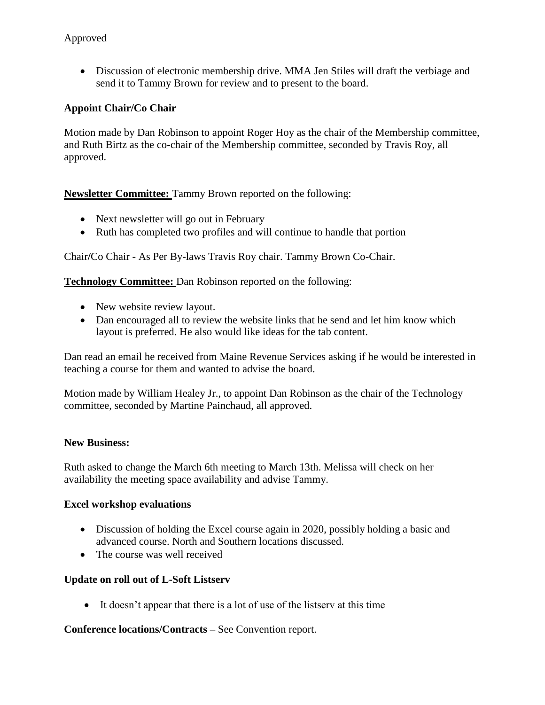Discussion of electronic membership drive. MMA Jen Stiles will draft the verbiage and send it to Tammy Brown for review and to present to the board.

# **Appoint Chair/Co Chair**

Motion made by Dan Robinson to appoint Roger Hoy as the chair of the Membership committee, and Ruth Birtz as the co-chair of the Membership committee, seconded by Travis Roy, all approved.

**Newsletter Committee:** Tammy Brown reported on the following:

- Next newsletter will go out in February
- Ruth has completed two profiles and will continue to handle that portion

Chair**/**Co Chair - As Per By-laws Travis Roy chair. Tammy Brown Co-Chair.

**Technology Committee:** Dan Robinson reported on the following:

- New website review layout.
- Dan encouraged all to review the website links that he send and let him know which layout is preferred. He also would like ideas for the tab content.

Dan read an email he received from Maine Revenue Services asking if he would be interested in teaching a course for them and wanted to advise the board.

Motion made by William Healey Jr., to appoint Dan Robinson as the chair of the Technology committee, seconded by Martine Painchaud, all approved.

### **New Business:**

Ruth asked to change the March 6th meeting to March 13th. Melissa will check on her availability the meeting space availability and advise Tammy.

### **Excel workshop evaluations**

- Discussion of holding the Excel course again in 2020, possibly holding a basic and advanced course. North and Southern locations discussed.
- The course was well received

### **Update on roll out of L-Soft Listserv**

It doesn't appear that there is a lot of use of the listserv at this time

**Conference locations/Contracts –** See Convention report.